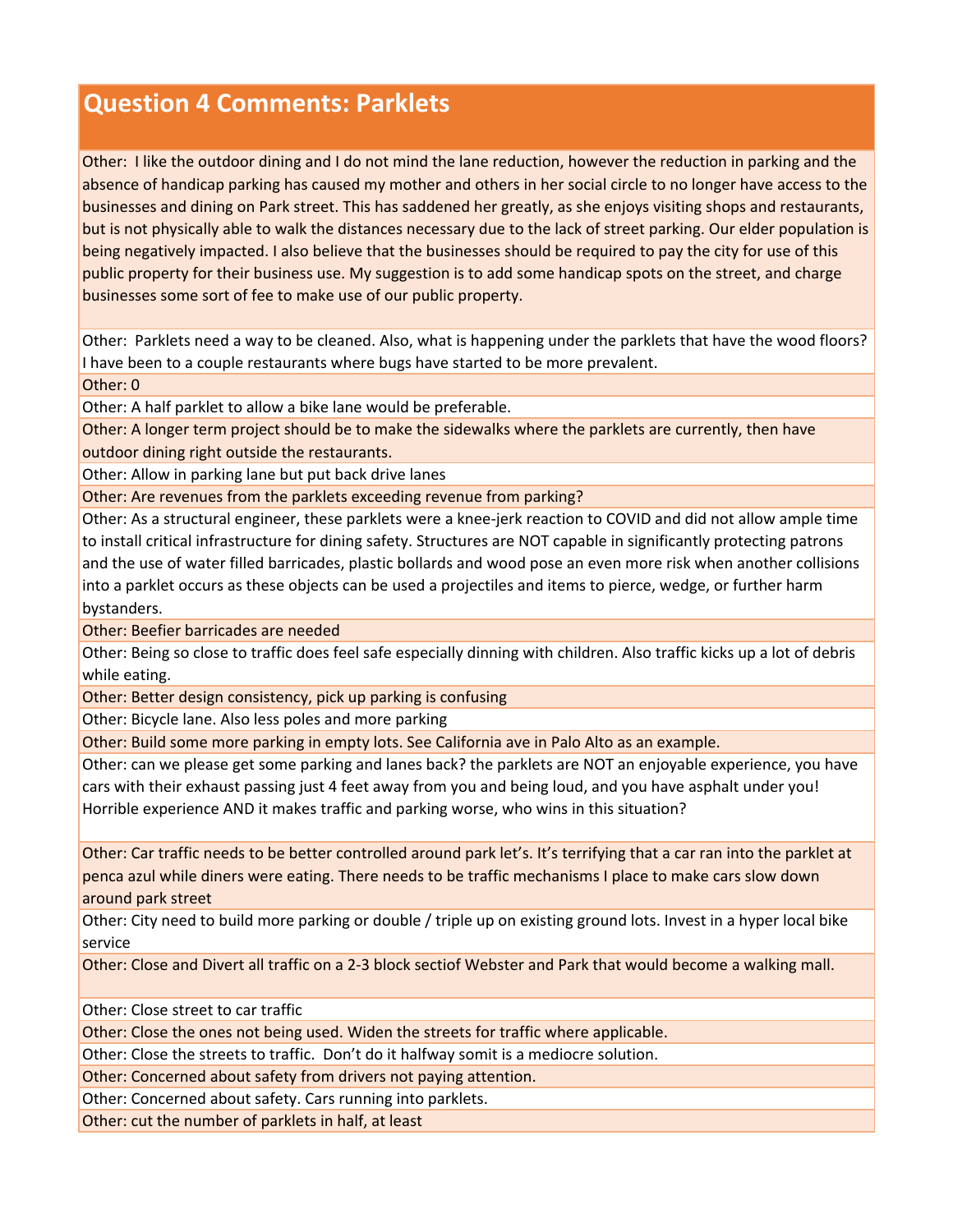## **Question 4 Comments: Parklets**

Other: I like the outdoor dining and I do not mind the lane reduction, however the reduction in parking and the absence of handicap parking has caused my mother and others in her social circle to no longer have access to the businesses and dining on Park street. This has saddened her greatly, as she enjoys visiting shops and restaurants, but is not physically able to walk the distances necessary due to the lack of street parking. Our elder population is being negatively impacted. I also believe that the businesses should be required to pay the city for use of this public property for their business use. My suggestion is to add some handicap spots on the street, and charge businesses some sort of fee to make use of our public property.

Other: Parklets need a way to be cleaned. Also, what is happening under the parklets that have the wood floors? I have been to a couple restaurants where bugs have started to be more prevalent.

Other: 0

Other: A half parklet to allow a bike lane would be preferable.

Other: A longer term project should be to make the sidewalks where the parklets are currently, then have outdoor dining right outside the restaurants.

Other: Allow in parking lane but put back drive lanes

Other: Are revenues from the parklets exceeding revenue from parking?

Other: As a structural engineer, these parklets were a knee‐jerk reaction to COVID and did not allow ample time to install critical infrastructure for dining safety. Structures are NOT capable in significantly protecting patrons and the use of water filled barricades, plastic bollards and wood pose an even more risk when another collisions into a parklet occurs as these objects can be used a projectiles and items to pierce, wedge, or further harm bystanders.

Other: Beefier barricades are needed

Other: Being so close to traffic does feel safe especially dinning with children. Also traffic kicks up a lot of debris while eating.

Other: Better design consistency, pick up parking is confusing

Other: Bicycle lane. Also less poles and more parking

Other: Build some more parking in empty lots. See California ave in Palo Alto as an example.

Other: can we please get some parking and lanes back? the parklets are NOT an enjoyable experience, you have cars with their exhaust passing just 4 feet away from you and being loud, and you have asphalt under you! Horrible experience AND it makes traffic and parking worse, who wins in this situation?

Other: Car traffic needs to be better controlled around park let's. It's terrifying that a car ran into the parklet at penca azul while diners were eating. There needs to be traffic mechanisms I place to make cars slow down around park street

Other: City need to build more parking or double / triple up on existing ground lots. Invest in a hyper local bike service

Other: Close and Divert all traffic on a 2-3 block sectiof Webster and Park that would become a walking mall.

Other: Close street to car traffic

Other: Close the ones not being used. Widen the streets for traffic where applicable.

Other: Close the streets to traffic. Don't do it halfway somit is a mediocre solution.

Other: Concerned about safety from drivers not paying attention.

Other: Concerned about safety. Cars running into parklets.

Other: cut the number of parklets in half, at least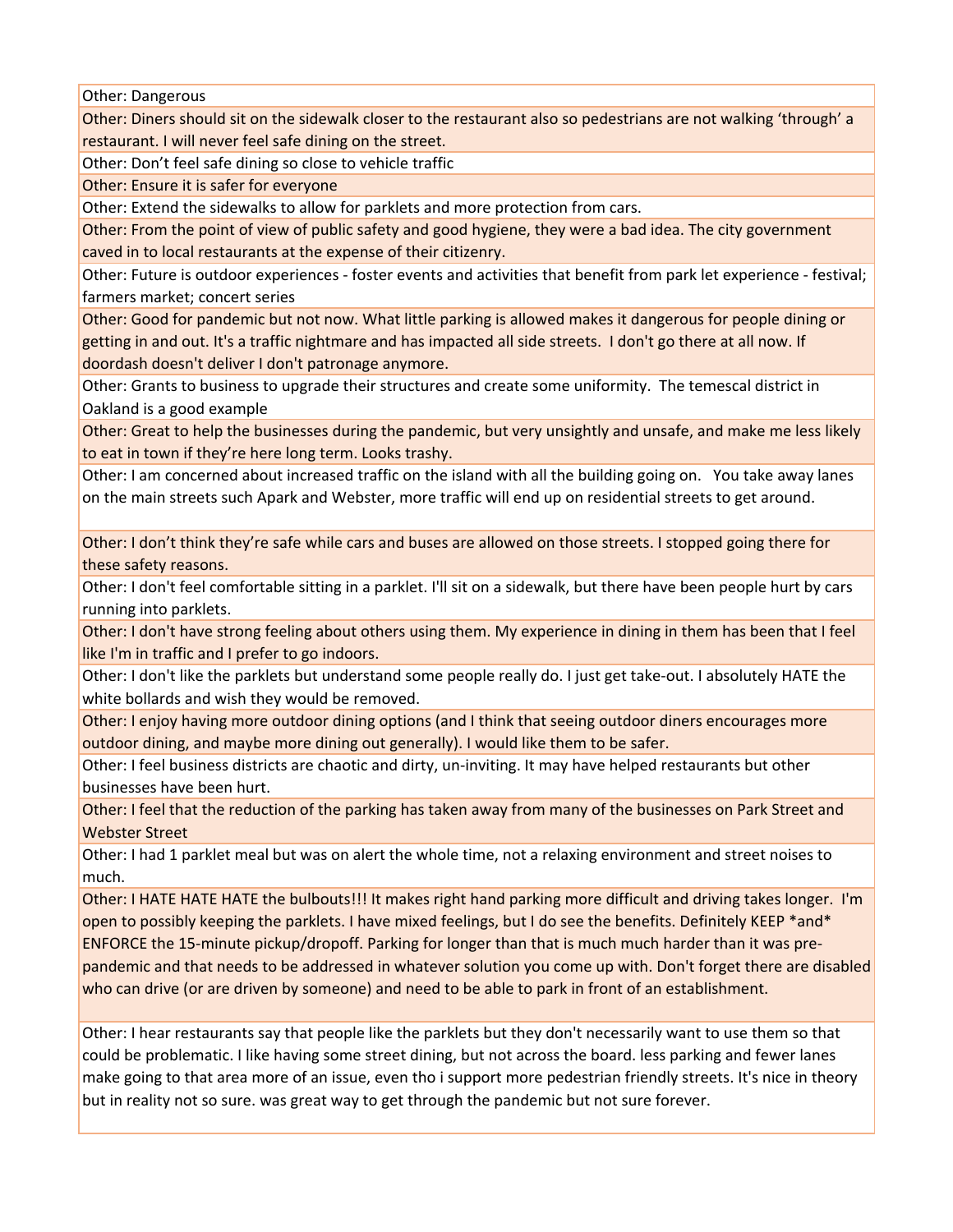Other: Dangerous

Other: Diners should sit on the sidewalk closer to the restaurant also so pedestrians are not walking 'through' a restaurant. I will never feel safe dining on the street.

Other: Don't feel safe dining so close to vehicle traffic

Other: Ensure it is safer for everyone

Other: Extend the sidewalks to allow for parklets and more protection from cars.

Other: From the point of view of public safety and good hygiene, they were a bad idea. The city government caved in to local restaurants at the expense of their citizenry.

Other: Future is outdoor experiences ‐ foster events and activities that benefit from park let experience ‐ festival; farmers market; concert series

Other: Good for pandemic but not now. What little parking is allowed makes it dangerous for people dining or getting in and out. It's a traffic nightmare and has impacted all side streets. I don't go there at all now. If doordash doesn't deliver I don't patronage anymore.

Other: Grants to business to upgrade their structures and create some uniformity. The temescal district in Oakland is a good example

Other: Great to help the businesses during the pandemic, but very unsightly and unsafe, and make me less likely to eat in town if they're here long term. Looks trashy.

Other: I am concerned about increased traffic on the island with all the building going on. You take away lanes on the main streets such Apark and Webster, more traffic will end up on residential streets to get around.

Other: I don't think they're safe while cars and buses are allowed on those streets. I stopped going there for these safety reasons.

Other: I don't feel comfortable sitting in a parklet. I'll sit on a sidewalk, but there have been people hurt by cars running into parklets.

Other: I don't have strong feeling about others using them. My experience in dining in them has been that I feel like I'm in traffic and I prefer to go indoors.

Other: I don't like the parklets but understand some people really do. I just get take‐out. I absolutely HATE the white bollards and wish they would be removed.

Other: I enjoy having more outdoor dining options (and I think that seeing outdoor diners encourages more outdoor dining, and maybe more dining out generally). I would like them to be safer.

Other: I feel business districts are chaotic and dirty, un‐inviting. It may have helped restaurants but other businesses have been hurt.

Other: I feel that the reduction of the parking has taken away from many of the businesses on Park Street and Webster Street

Other: I had 1 parklet meal but was on alert the whole time, not a relaxing environment and street noises to much.

Other: I HATE HATE HATE the bulbouts!!! It makes right hand parking more difficult and driving takes longer. I'm open to possibly keeping the parklets. I have mixed feelings, but I do see the benefits. Definitely KEEP \*and\* ENFORCE the 15‐minute pickup/dropoff. Parking for longer than that is much much harder than it was pre‐ pandemic and that needs to be addressed in whatever solution you come up with. Don't forget there are disabled who can drive (or are driven by someone) and need to be able to park in front of an establishment.

Other: I hear restaurants say that people like the parklets but they don't necessarily want to use them so that could be problematic. I like having some street dining, but not across the board. less parking and fewer lanes make going to that area more of an issue, even tho i support more pedestrian friendly streets. It's nice in theory but in reality not so sure. was great way to get through the pandemic but not sure forever.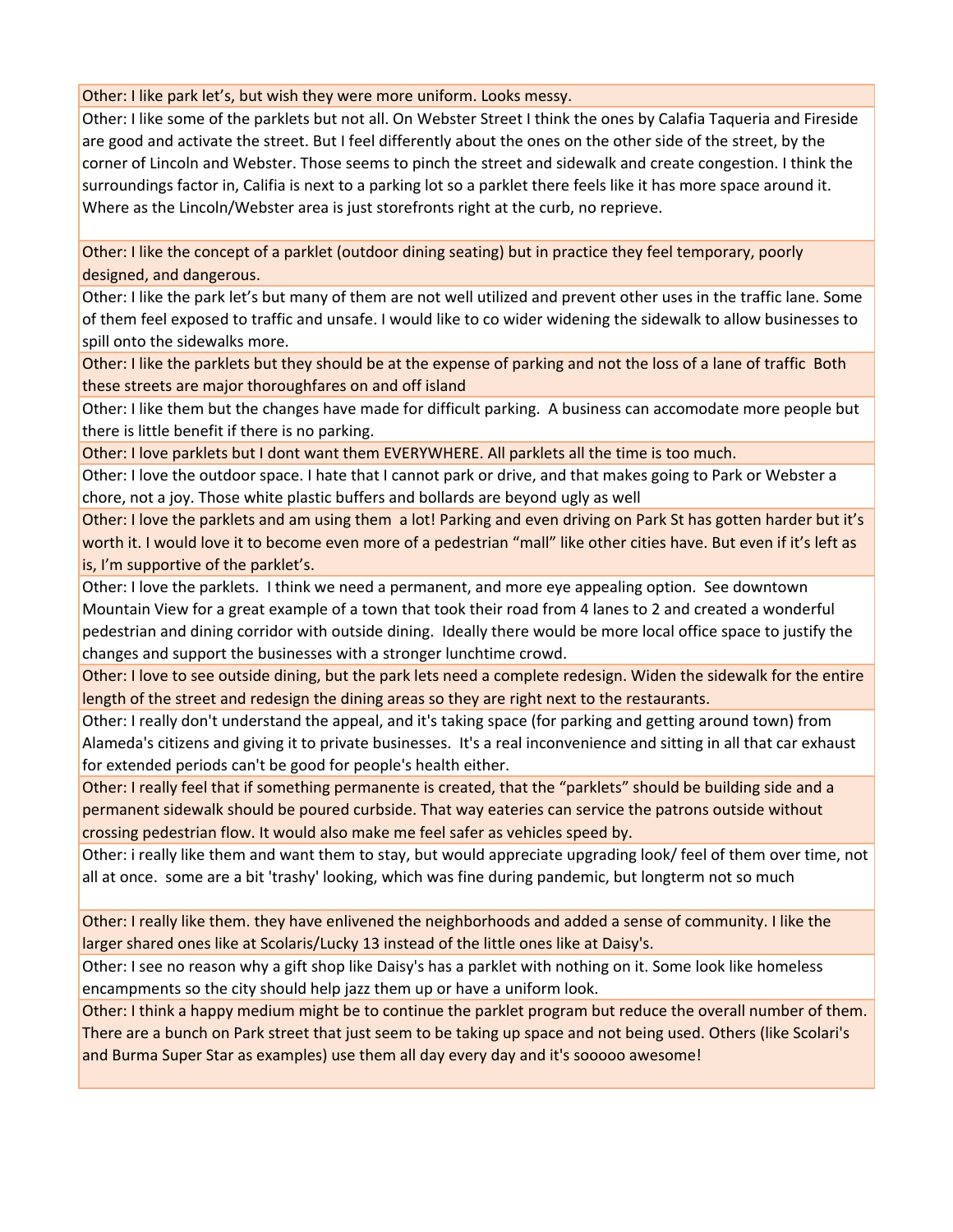Other: I like park let's, but wish they were more uniform. Looks messy.

Other: I like some of the parklets but not all. On Webster Street I think the ones by Calafia Taqueria and Fireside are good and activate the street. But I feel differently about the ones on the other side of the street, by the corner of Lincoln and Webster. Those seems to pinch the street and sidewalk and create congestion. I think the surroundings factor in, Califia is next to a parking lot so a parklet there feels like it has more space around it. Where as the Lincoln/Webster area is just storefronts right at the curb, no reprieve.

Other: I like the concept of a parklet (outdoor dining seating) but in practice they feel temporary, poorly designed, and dangerous.

Other: I like the park let's but many of them are not well utilized and prevent other uses in the traffic lane. Some of them feel exposed to traffic and unsafe. I would like to co wider widening the sidewalk to allow businesses to spill onto the sidewalks more.

Other: I like the parklets but they should be at the expense of parking and not the loss of a lane of traffic Both these streets are major thoroughfares on and off island

Other: I like them but the changes have made for difficult parking. A business can accomodate more people but there is little benefit if there is no parking.

Other: I love parklets but I dont want them EVERYWHERE. All parklets all the time is too much.

Other: I love the outdoor space. I hate that I cannot park or drive, and that makes going to Park or Webster a chore, not a joy. Those white plastic buffers and bollards are beyond ugly as well

Other: I love the parklets and am using them a lot! Parking and even driving on Park St has gotten harder but it's worth it. I would love it to become even more of a pedestrian "mall" like other cities have. But even if it's left as is, I'm supportive of the parklet's.

Other: I love the parklets. I think we need a permanent, and more eye appealing option. See downtown Mountain View for a great example of a town that took their road from 4 lanes to 2 and created a wonderful pedestrian and dining corridor with outside dining. Ideally there would be more local office space to justify the changes and support the businesses with a stronger lunchtime crowd.

Other: I love to see outside dining, but the park lets need a complete redesign. Widen the sidewalk for the entire length of the street and redesign the dining areas so they are right next to the restaurants.

Other: I really don't understand the appeal, and it's taking space (for parking and getting around town) from Alameda's citizens and giving it to private businesses. It's a real inconvenience and sitting in all that car exhaust for extended periods can't be good for people's health either.

Other: I really feel that if something permanente is created, that the "parklets" should be building side and a permanent sidewalk should be poured curbside. That way eateries can service the patrons outside without crossing pedestrian flow. It would also make me feel safer as vehicles speed by.

Other: i really like them and want them to stay, but would appreciate upgrading look/ feel of them over time, not all at once. some are a bit 'trashy' looking, which was fine during pandemic, but longterm not so much

Other: I really like them. they have enlivened the neighborhoods and added a sense of community. I like the larger shared ones like at Scolaris/Lucky 13 instead of the little ones like at Daisy's.

Other: I see no reason why a gift shop like Daisy's has a parklet with nothing on it. Some look like homeless encampments so the city should help jazz them up or have a uniform look.

Other: I think a happy medium might be to continue the parklet program but reduce the overall number of them. There are a bunch on Park street that just seem to be taking up space and not being used. Others (like Scolari's and Burma Super Star as examples) use them all day every day and it's sooooo awesome!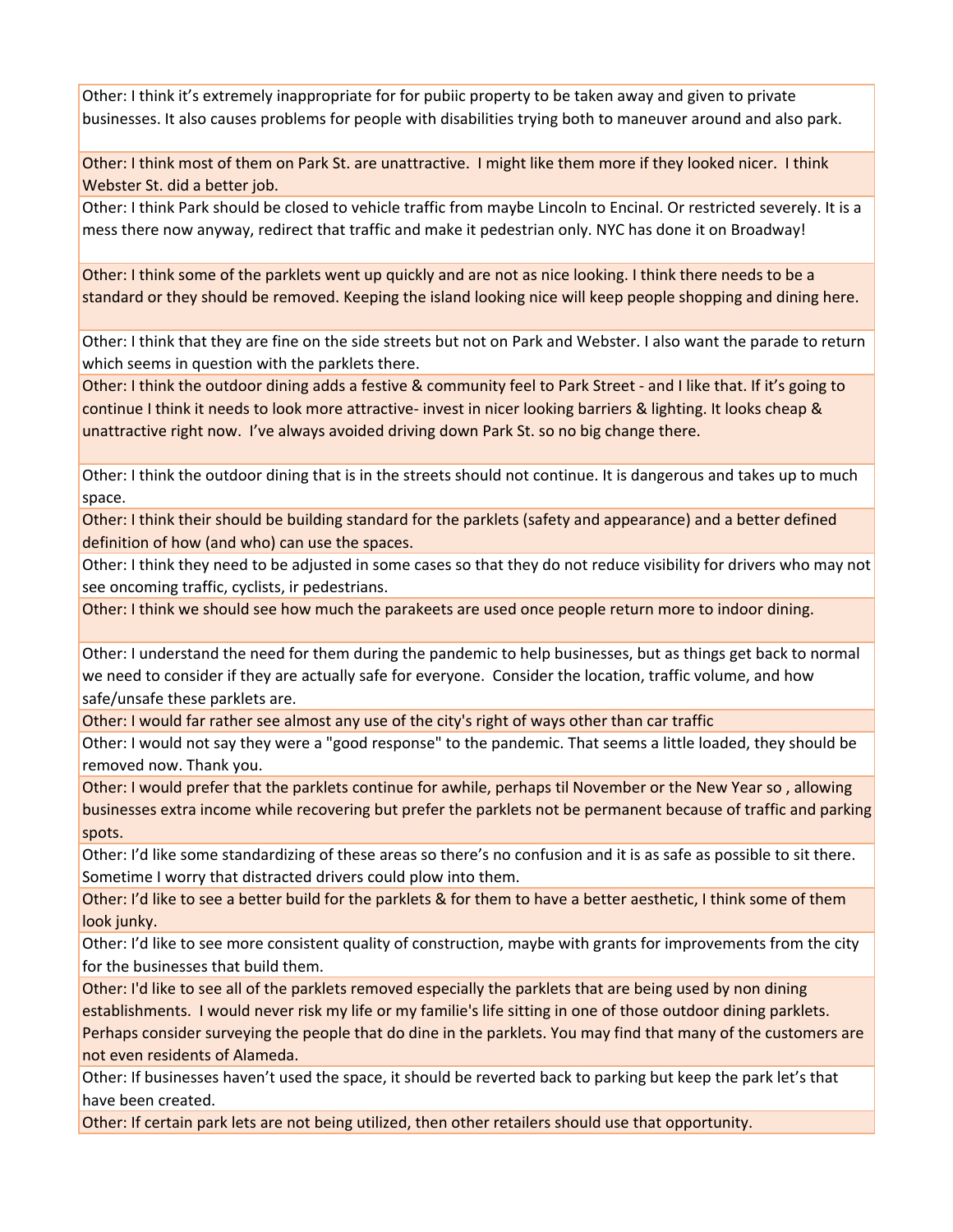Other: I think it's extremely inappropriate for for pubiic property to be taken away and given to private businesses. It also causes problems for people with disabilities trying both to maneuver around and also park.

Other: I think most of them on Park St. are unattractive. I might like them more if they looked nicer. I think Webster St. did a better job.

Other: I think Park should be closed to vehicle traffic from maybe Lincoln to Encinal. Or restricted severely. It is a mess there now anyway, redirect that traffic and make it pedestrian only. NYC has done it on Broadway!

Other: I think some of the parklets went up quickly and are not as nice looking. I think there needs to be a standard or they should be removed. Keeping the island looking nice will keep people shopping and dining here.

Other: I think that they are fine on the side streets but not on Park and Webster. I also want the parade to return which seems in question with the parklets there.

Other: I think the outdoor dining adds a festive & community feel to Park Street ‐ and I like that. If it's going to continue I think it needs to look more attractive‐ invest in nicer looking barriers & lighting. It looks cheap & unattractive right now. I've always avoided driving down Park St. so no big change there.

Other: I think the outdoor dining that is in the streets should not continue. It is dangerous and takes up to much space.

Other: I think their should be building standard for the parklets (safety and appearance) and a better defined definition of how (and who) can use the spaces.

Other: I think they need to be adjusted in some cases so that they do not reduce visibility for drivers who may not see oncoming traffic, cyclists, ir pedestrians.

Other: I think we should see how much the parakeets are used once people return more to indoor dining.

Other: I understand the need for them during the pandemic to help businesses, but as things get back to normal we need to consider if they are actually safe for everyone. Consider the location, traffic volume, and how safe/unsafe these parklets are.

Other: I would far rather see almost any use of the city's right of ways other than car traffic

Other: I would not say they were a "good response" to the pandemic. That seems a little loaded, they should be removed now. Thank you.

Other: I would prefer that the parklets continue for awhile, perhaps til November or the New Year so , allowing businesses extra income while recovering but prefer the parklets not be permanent because of traffic and parking spots.

Other: I'd like some standardizing of these areas so there's no confusion and it is as safe as possible to sit there. Sometime I worry that distracted drivers could plow into them.

Other: I'd like to see a better build for the parklets & for them to have a better aesthetic, I think some of them look junky.

Other: I'd like to see more consistent quality of construction, maybe with grants for improvements from the city for the businesses that build them.

Other: I'd like to see all of the parklets removed especially the parklets that are being used by non dining establishments. I would never risk my life or my familie's life sitting in one of those outdoor dining parklets. Perhaps consider surveying the people that do dine in the parklets. You may find that many of the customers are not even residents of Alameda.

Other: If businesses haven't used the space, it should be reverted back to parking but keep the park let's that have been created.

Other: If certain park lets are not being utilized, then other retailers should use that opportunity.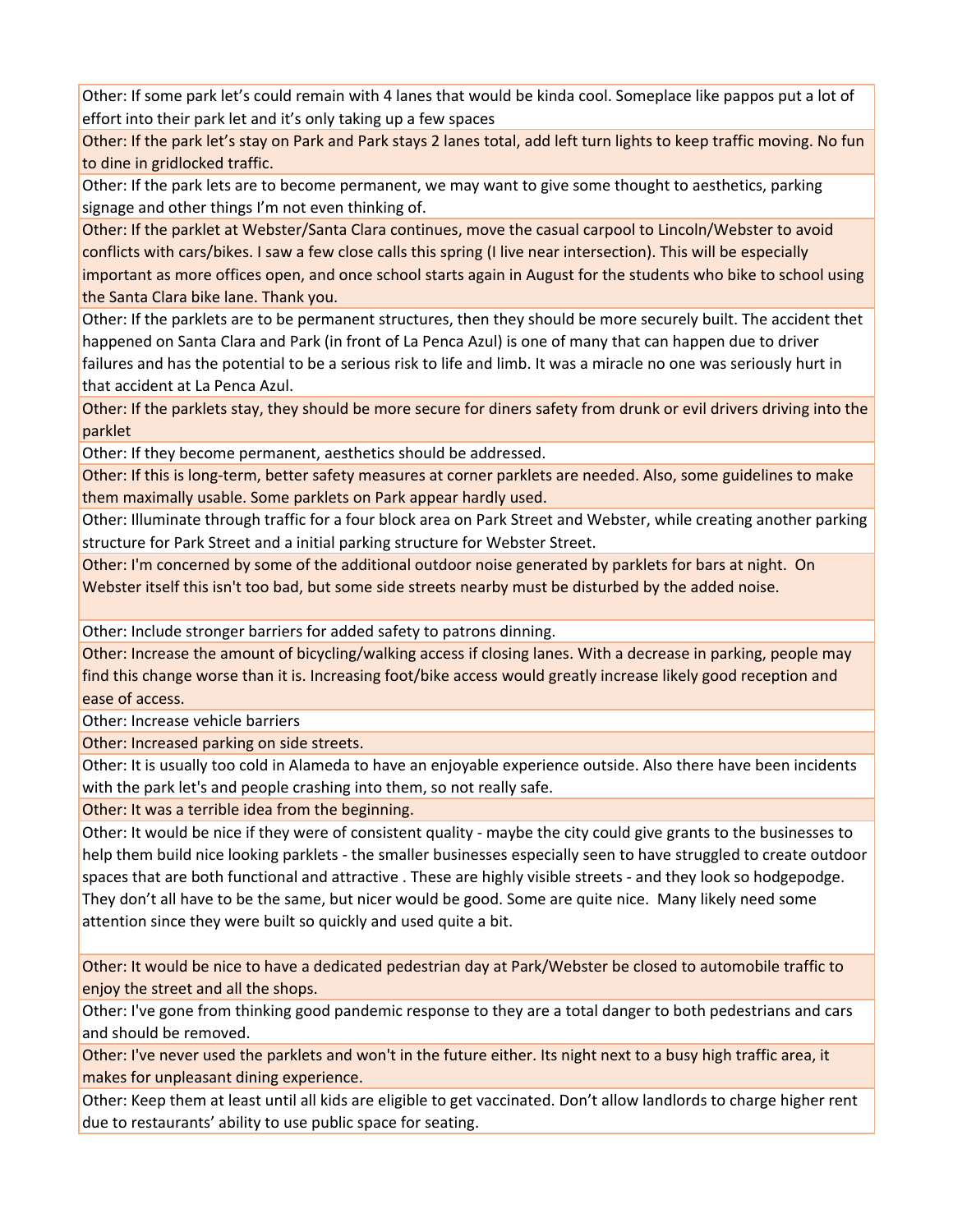Other: If some park let's could remain with 4 lanes that would be kinda cool. Someplace like pappos put a lot of effort into their park let and it's only taking up a few spaces

Other: If the park let's stay on Park and Park stays 2 lanes total, add left turn lights to keep traffic moving. No fun to dine in gridlocked traffic.

Other: If the park lets are to become permanent, we may want to give some thought to aesthetics, parking signage and other things I'm not even thinking of.

Other: If the parklet at Webster/Santa Clara continues, move the casual carpool to Lincoln/Webster to avoid conflicts with cars/bikes. I saw a few close calls this spring (I live near intersection). This will be especially important as more offices open, and once school starts again in August for the students who bike to school using the Santa Clara bike lane. Thank you.

Other: If the parklets are to be permanent structures, then they should be more securely built. The accident thet happened on Santa Clara and Park (in front of La Penca Azul) is one of many that can happen due to driver failures and has the potential to be a serious risk to life and limb. It was a miracle no one was seriously hurt in that accident at La Penca Azul.

Other: If the parklets stay, they should be more secure for diners safety from drunk or evil drivers driving into the parklet

Other: If they become permanent, aesthetics should be addressed.

Other: If this is long‐term, better safety measures at corner parklets are needed. Also, some guidelines to make them maximally usable. Some parklets on Park appear hardly used.

Other: Illuminate through traffic for a four block area on Park Street and Webster, while creating another parking structure for Park Street and a initial parking structure for Webster Street.

Other: I'm concerned by some of the additional outdoor noise generated by parklets for bars at night. On Webster itself this isn't too bad, but some side streets nearby must be disturbed by the added noise.

Other: Include stronger barriers for added safety to patrons dinning.

Other: Increase the amount of bicycling/walking access if closing lanes. With a decrease in parking, people may find this change worse than it is. Increasing foot/bike access would greatly increase likely good reception and ease of access.

Other: Increase vehicle barriers

Other: Increased parking on side streets.

Other: It is usually too cold in Alameda to have an enjoyable experience outside. Also there have been incidents with the park let's and people crashing into them, so not really safe.

Other: It was a terrible idea from the beginning.

Other: It would be nice if they were of consistent quality ‐ maybe the city could give grants to the businesses to help them build nice looking parklets ‐ the smaller businesses especially seen to have struggled to create outdoor spaces that are both functional and attractive . These are highly visible streets ‐ and they look so hodgepodge. They don't all have to be the same, but nicer would be good. Some are quite nice. Many likely need some attention since they were built so quickly and used quite a bit.

Other: It would be nice to have a dedicated pedestrian day at Park/Webster be closed to automobile traffic to enjoy the street and all the shops.

Other: I've gone from thinking good pandemic response to they are a total danger to both pedestrians and cars and should be removed.

Other: I've never used the parklets and won't in the future either. Its night next to a busy high traffic area, it makes for unpleasant dining experience.

Other: Keep them at least until all kids are eligible to get vaccinated. Don't allow landlords to charge higher rent due to restaurants' ability to use public space for seating.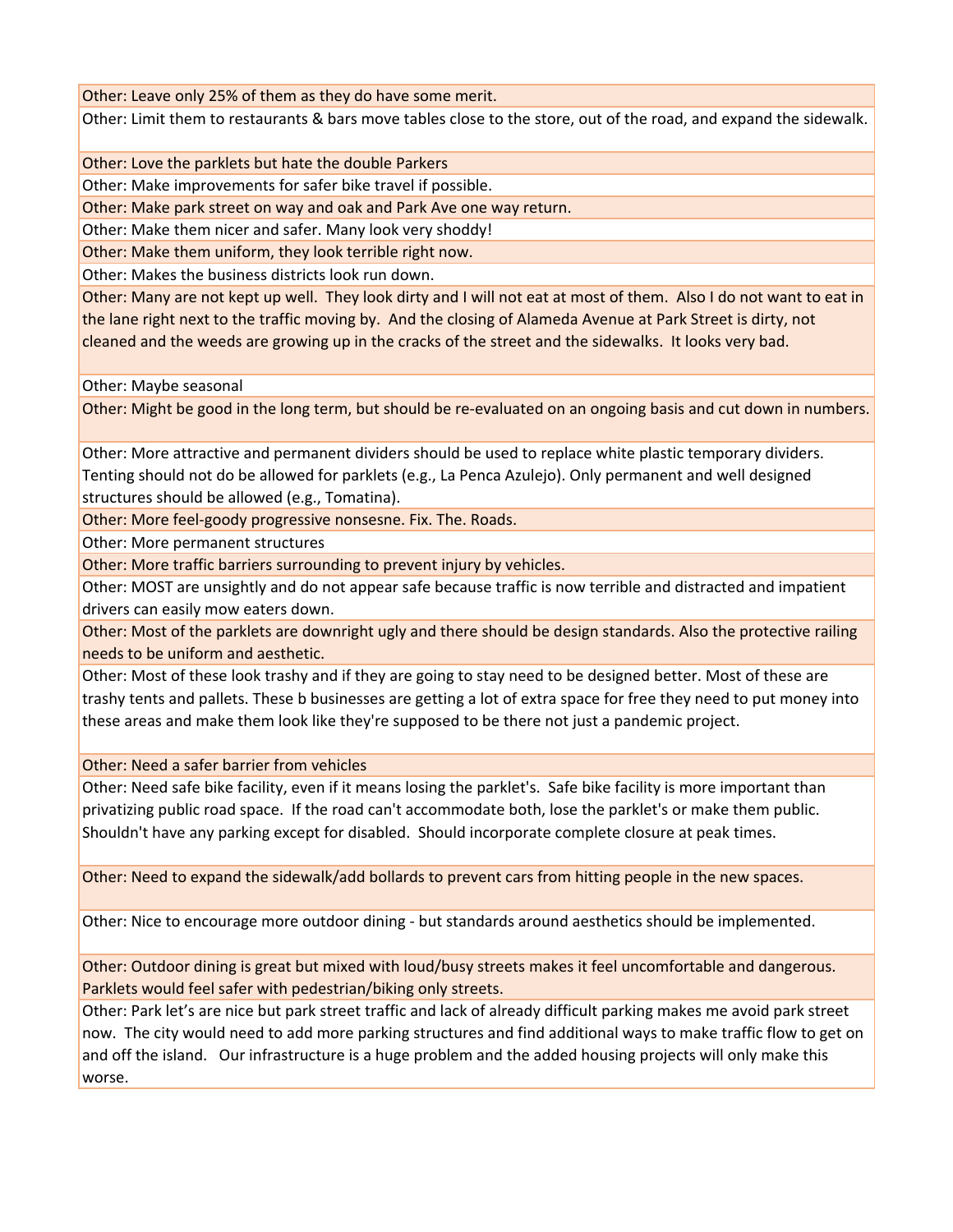Other: Leave only 25% of them as they do have some merit.

Other: Limit them to restaurants & bars move tables close to the store, out of the road, and expand the sidewalk.

Other: Love the parklets but hate the double Parkers

Other: Make improvements for safer bike travel if possible.

Other: Make park street on way and oak and Park Ave one way return.

Other: Make them nicer and safer. Many look very shoddy!

Other: Make them uniform, they look terrible right now.

Other: Makes the business districts look run down.

Other: Many are not kept up well. They look dirty and I will not eat at most of them. Also I do not want to eat in the lane right next to the traffic moving by. And the closing of Alameda Avenue at Park Street is dirty, not cleaned and the weeds are growing up in the cracks of the street and the sidewalks. It looks very bad.

Other: Maybe seasonal

Other: Might be good in the long term, but should be re-evaluated on an ongoing basis and cut down in numbers.

Other: More attractive and permanent dividers should be used to replace white plastic temporary dividers. Tenting should not do be allowed for parklets (e.g., La Penca Azulejo). Only permanent and well designed structures should be allowed (e.g., Tomatina).

Other: More feel‐goody progressive nonsesne. Fix. The. Roads.

Other: More permanent structures

Other: More traffic barriers surrounding to prevent injury by vehicles.

Other: MOST are unsightly and do not appear safe because traffic is now terrible and distracted and impatient drivers can easily mow eaters down.

Other: Most of the parklets are downright ugly and there should be design standards. Also the protective railing needs to be uniform and aesthetic.

Other: Most of these look trashy and if they are going to stay need to be designed better. Most of these are trashy tents and pallets. These b businesses are getting a lot of extra space for free they need to put money into these areas and make them look like they're supposed to be there not just a pandemic project.

Other: Need a safer barrier from vehicles

Other: Need safe bike facility, even if it means losing the parklet's. Safe bike facility is more important than privatizing public road space. If the road can't accommodate both, lose the parklet's or make them public. Shouldn't have any parking except for disabled. Should incorporate complete closure at peak times.

Other: Need to expand the sidewalk/add bollards to prevent cars from hitting people in the new spaces.

Other: Nice to encourage more outdoor dining ‐ but standards around aesthetics should be implemented.

Other: Outdoor dining is great but mixed with loud/busy streets makes it feel uncomfortable and dangerous. Parklets would feel safer with pedestrian/biking only streets.

Other: Park let's are nice but park street traffic and lack of already difficult parking makes me avoid park street now. The city would need to add more parking structures and find additional ways to make traffic flow to get on and off the island. Our infrastructure is a huge problem and the added housing projects will only make this worse.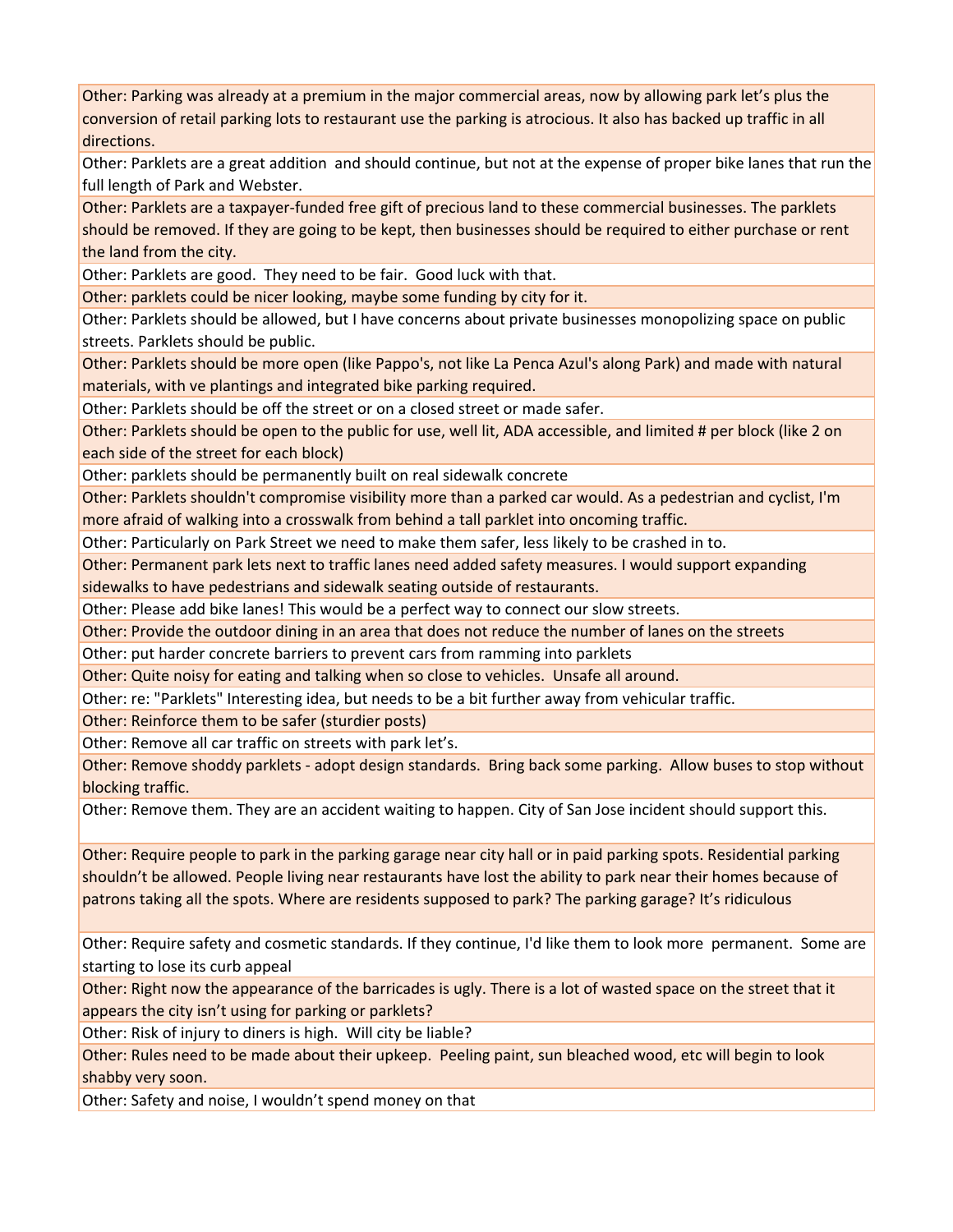Other: Parking was already at a premium in the major commercial areas, now by allowing park let's plus the conversion of retail parking lots to restaurant use the parking is atrocious. It also has backed up traffic in all directions.

Other: Parklets are a great addition and should continue, but not at the expense of proper bike lanes that run the full length of Park and Webster.

Other: Parklets are a taxpayer‐funded free gift of precious land to these commercial businesses. The parklets should be removed. If they are going to be kept, then businesses should be required to either purchase or rent the land from the city.

Other: Parklets are good. They need to be fair. Good luck with that.

Other: parklets could be nicer looking, maybe some funding by city for it.

Other: Parklets should be allowed, but I have concerns about private businesses monopolizing space on public streets. Parklets should be public.

Other: Parklets should be more open (like Pappo's, not like La Penca Azul's along Park) and made with natural materials, with ve plantings and integrated bike parking required.

Other: Parklets should be off the street or on a closed street or made safer.

Other: Parklets should be open to the public for use, well lit, ADA accessible, and limited # per block (like 2 on each side of the street for each block)

Other: parklets should be permanently built on real sidewalk concrete

Other: Parklets shouldn't compromise visibility more than a parked car would. As a pedestrian and cyclist, I'm more afraid of walking into a crosswalk from behind a tall parklet into oncoming traffic.

Other: Particularly on Park Street we need to make them safer, less likely to be crashed in to.

Other: Permanent park lets next to traffic lanes need added safety measures. I would support expanding sidewalks to have pedestrians and sidewalk seating outside of restaurants.

Other: Please add bike lanes! This would be a perfect way to connect our slow streets.

Other: Provide the outdoor dining in an area that does not reduce the number of lanes on the streets

Other: put harder concrete barriers to prevent cars from ramming into parklets

Other: Quite noisy for eating and talking when so close to vehicles. Unsafe all around.

Other: re: "Parklets" Interesting idea, but needs to be a bit further away from vehicular traffic.

Other: Reinforce them to be safer (sturdier posts)

Other: Remove all car traffic on streets with park let's.

Other: Remove shoddy parklets ‐ adopt design standards. Bring back some parking. Allow buses to stop without blocking traffic.

Other: Remove them. They are an accident waiting to happen. City of San Jose incident should support this.

Other: Require people to park in the parking garage near city hall or in paid parking spots. Residential parking shouldn't be allowed. People living near restaurants have lost the ability to park near their homes because of patrons taking all the spots. Where are residents supposed to park? The parking garage? It's ridiculous

Other: Require safety and cosmetic standards. If they continue, I'd like them to look more permanent. Some are starting to lose its curb appeal

Other: Right now the appearance of the barricades is ugly. There is a lot of wasted space on the street that it appears the city isn't using for parking or parklets?

Other: Risk of injury to diners is high. Will city be liable?

Other: Rules need to be made about their upkeep. Peeling paint, sun bleached wood, etc will begin to look shabby very soon.

Other: Safety and noise, I wouldn't spend money on that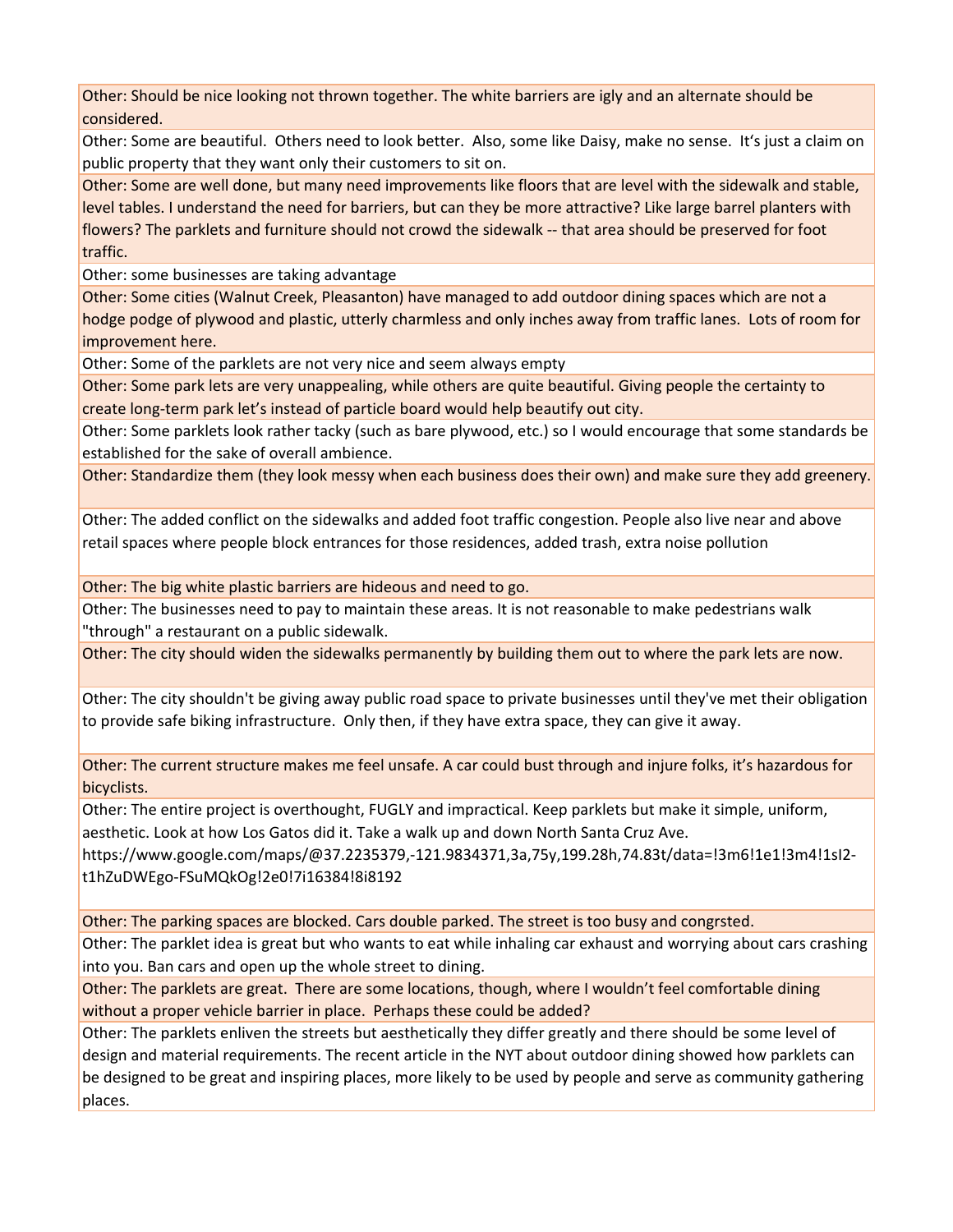Other: Should be nice looking not thrown together. The white barriers are igly and an alternate should be considered.

Other: Some are beautiful. Others need to look better. Also, some like Daisy, make no sense. Itʻs just a claim on public property that they want only their customers to sit on.

Other: Some are well done, but many need improvements like floors that are level with the sidewalk and stable, level tables. I understand the need for barriers, but can they be more attractive? Like large barrel planters with flowers? The parklets and furniture should not crowd the sidewalk -- that area should be preserved for foot traffic.

Other: some businesses are taking advantage

Other: Some cities (Walnut Creek, Pleasanton) have managed to add outdoor dining spaces which are not a hodge podge of plywood and plastic, utterly charmless and only inches away from traffic lanes. Lots of room for improvement here.

Other: Some of the parklets are not very nice and seem always empty

Other: Some park lets are very unappealing, while others are quite beautiful. Giving people the certainty to create long‐term park let's instead of particle board would help beautify out city.

Other: Some parklets look rather tacky (such as bare plywood, etc.) so I would encourage that some standards be established for the sake of overall ambience.

Other: Standardize them (they look messy when each business does their own) and make sure they add greenery.

Other: The added conflict on the sidewalks and added foot traffic congestion. People also live near and above retail spaces where people block entrances for those residences, added trash, extra noise pollution

Other: The big white plastic barriers are hideous and need to go.

Other: The businesses need to pay to maintain these areas. It is not reasonable to make pedestrians walk "through" a restaurant on a public sidewalk.

Other: The city should widen the sidewalks permanently by building them out to where the park lets are now.

Other: The city shouldn't be giving away public road space to private businesses until they've met their obligation to provide safe biking infrastructure. Only then, if they have extra space, they can give it away.

Other: The current structure makes me feel unsafe. A car could bust through and injure folks, it's hazardous for bicyclists.

Other: The entire project is overthought, FUGLY and impractical. Keep parklets but make it simple, uniform, aesthetic. Look at how Los Gatos did it. Take a walk up and down North Santa Cruz Ave.

https://www.google.com/maps/@37.2235379,‐121.9834371,3a,75y,199.28h,74.83t/data=!3m6!1e1!3m4!1sI2‐ t1hZuDWEgo‐FSuMQkOg!2e0!7i16384!8i8192

Other: The parking spaces are blocked. Cars double parked. The street is too busy and congrsted.

Other: The parklet idea is great but who wants to eat while inhaling car exhaust and worrying about cars crashing into you. Ban cars and open up the whole street to dining.

Other: The parklets are great. There are some locations, though, where I wouldn't feel comfortable dining without a proper vehicle barrier in place. Perhaps these could be added?

Other: The parklets enliven the streets but aesthetically they differ greatly and there should be some level of design and material requirements. The recent article in the NYT about outdoor dining showed how parklets can be designed to be great and inspiring places, more likely to be used by people and serve as community gathering places.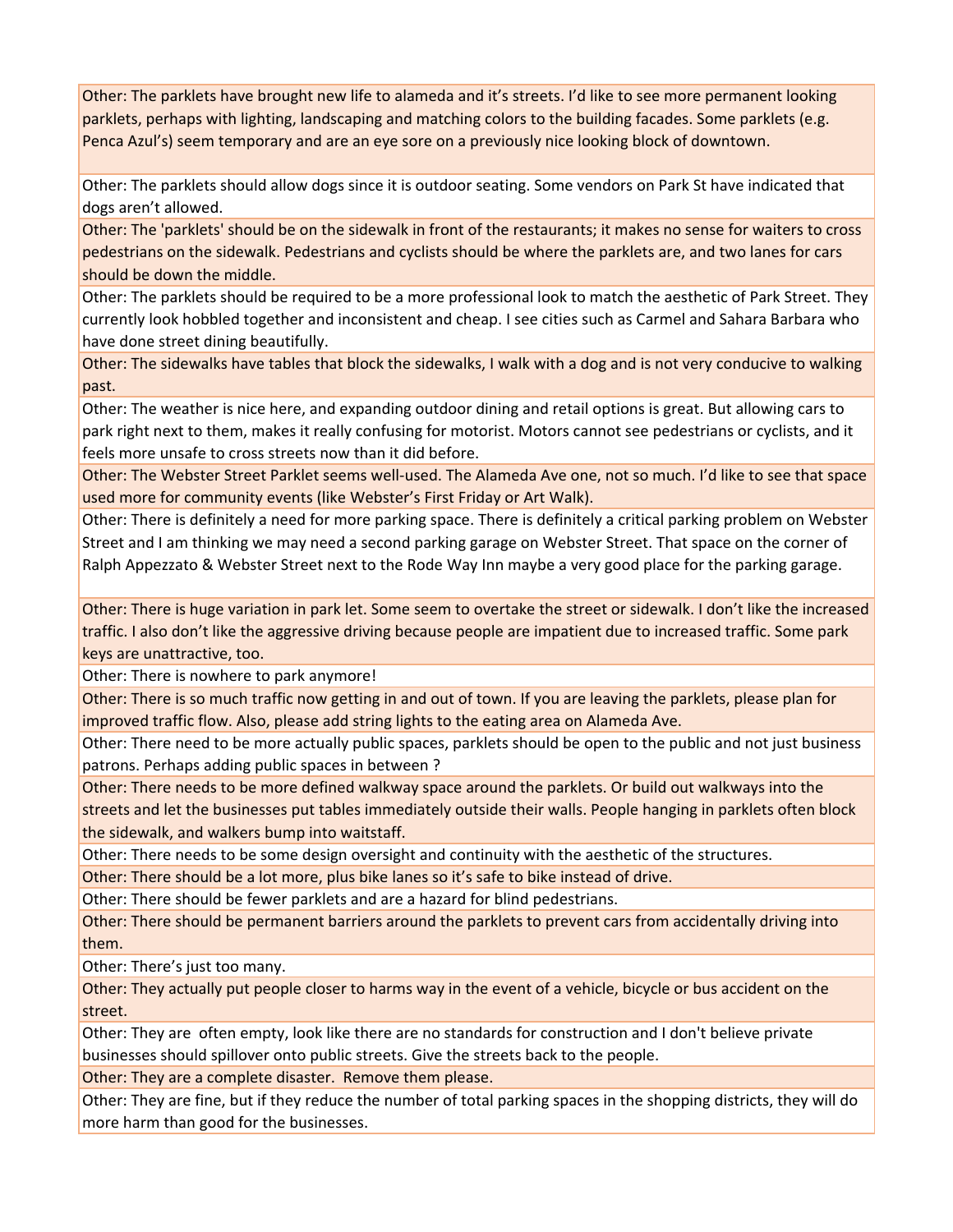Other: The parklets have brought new life to alameda and it's streets. I'd like to see more permanent looking parklets, perhaps with lighting, landscaping and matching colors to the building facades. Some parklets (e.g. Penca Azul's) seem temporary and are an eye sore on a previously nice looking block of downtown.

Other: The parklets should allow dogs since it is outdoor seating. Some vendors on Park St have indicated that dogs aren't allowed.

Other: The 'parklets' should be on the sidewalk in front of the restaurants; it makes no sense for waiters to cross pedestrians on the sidewalk. Pedestrians and cyclists should be where the parklets are, and two lanes for cars should be down the middle.

Other: The parklets should be required to be a more professional look to match the aesthetic of Park Street. They currently look hobbled together and inconsistent and cheap. I see cities such as Carmel and Sahara Barbara who have done street dining beautifully.

Other: The sidewalks have tables that block the sidewalks, I walk with a dog and is not very conducive to walking past.

Other: The weather is nice here, and expanding outdoor dining and retail options is great. But allowing cars to park right next to them, makes it really confusing for motorist. Motors cannot see pedestrians or cyclists, and it feels more unsafe to cross streets now than it did before.

Other: The Webster Street Parklet seems well‐used. The Alameda Ave one, not so much. I'd like to see that space used more for community events (like Webster's First Friday or Art Walk).

Other: There is definitely a need for more parking space. There is definitely a critical parking problem on Webster Street and I am thinking we may need a second parking garage on Webster Street. That space on the corner of Ralph Appezzato & Webster Street next to the Rode Way Inn maybe a very good place for the parking garage.

Other: There is huge variation in park let. Some seem to overtake the street or sidewalk. I don't like the increased traffic. I also don't like the aggressive driving because people are impatient due to increased traffic. Some park keys are unattractive, too.

Other: There is nowhere to park anymore!

Other: There is so much traffic now getting in and out of town. If you are leaving the parklets, please plan for improved traffic flow. Also, please add string lights to the eating area on Alameda Ave.

Other: There need to be more actually public spaces, parklets should be open to the public and not just business patrons. Perhaps adding public spaces in between ?

Other: There needs to be more defined walkway space around the parklets. Or build out walkways into the streets and let the businesses put tables immediately outside their walls. People hanging in parklets often block the sidewalk, and walkers bump into waitstaff.

Other: There needs to be some design oversight and continuity with the aesthetic of the structures.

Other: There should be a lot more, plus bike lanes so it's safe to bike instead of drive.

Other: There should be fewer parklets and are a hazard for blind pedestrians.

Other: There should be permanent barriers around the parklets to prevent cars from accidentally driving into them.

Other: There's just too many.

Other: They actually put people closer to harms way in the event of a vehicle, bicycle or bus accident on the street.

Other: They are often empty, look like there are no standards for construction and I don't believe private businesses should spillover onto public streets. Give the streets back to the people.

Other: They are a complete disaster. Remove them please.

Other: They are fine, but if they reduce the number of total parking spaces in the shopping districts, they will do more harm than good for the businesses.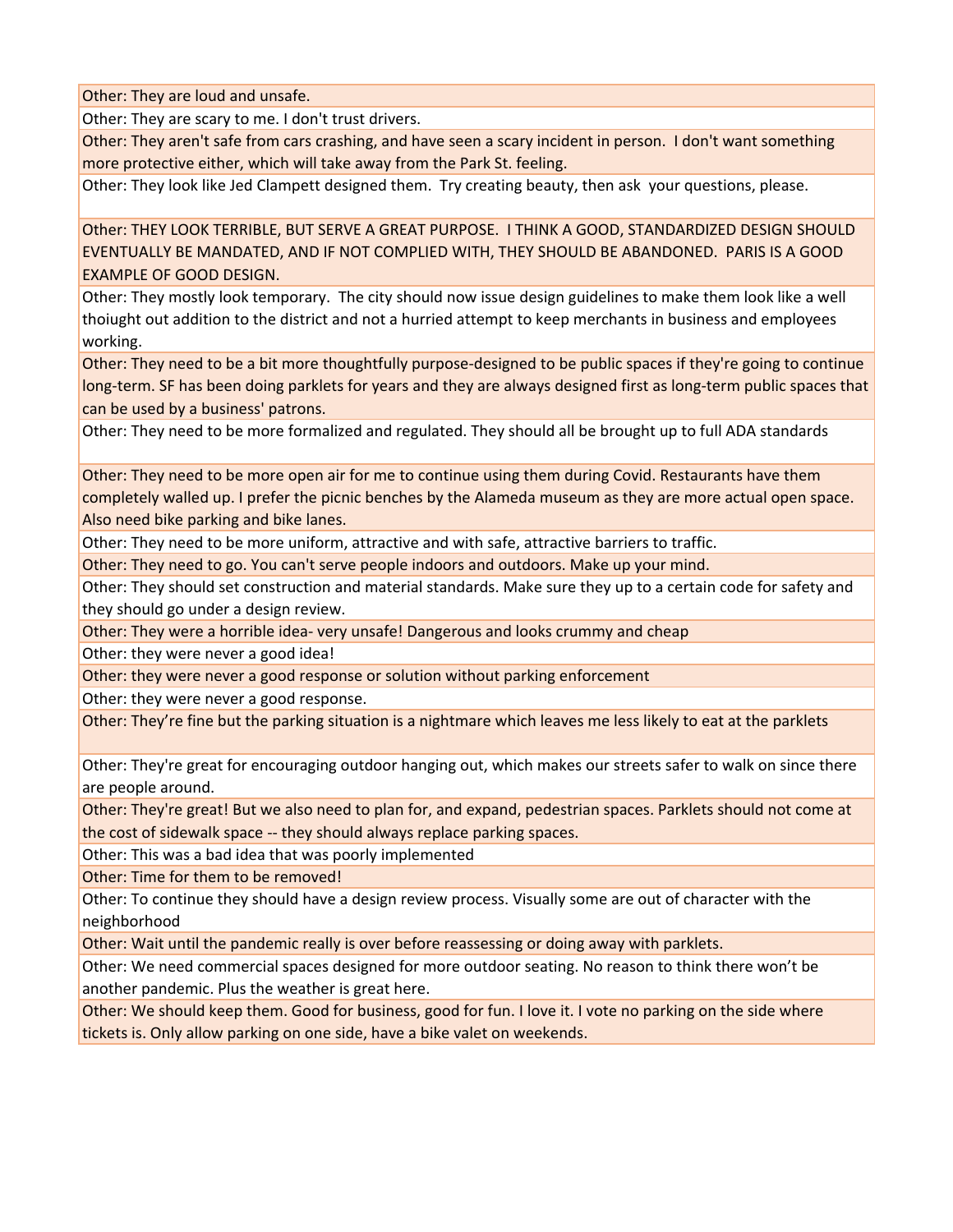Other: They are loud and unsafe.

Other: They are scary to me. I don't trust drivers.

Other: They aren't safe from cars crashing, and have seen a scary incident in person. I don't want something more protective either, which will take away from the Park St. feeling.

Other: They look like Jed Clampett designed them. Try creating beauty, then ask your questions, please.

Other: THEY LOOK TERRIBLE, BUT SERVE A GREAT PURPOSE. I THINK A GOOD, STANDARDIZED DESIGN SHOULD EVENTUALLY BE MANDATED, AND IF NOT COMPLIED WITH, THEY SHOULD BE ABANDONED. PARIS IS A GOOD EXAMPLE OF GOOD DESIGN.

Other: They mostly look temporary. The city should now issue design guidelines to make them look like a well thoiught out addition to the district and not a hurried attempt to keep merchants in business and employees working.

Other: They need to be a bit more thoughtfully purpose-designed to be public spaces if they're going to continue long‐term. SF has been doing parklets for years and they are always designed first as long‐term public spaces that can be used by a business' patrons.

Other: They need to be more formalized and regulated. They should all be brought up to full ADA standards

Other: They need to be more open air for me to continue using them during Covid. Restaurants have them completely walled up. I prefer the picnic benches by the Alameda museum as they are more actual open space. Also need bike parking and bike lanes.

Other: They need to be more uniform, attractive and with safe, attractive barriers to traffic.

Other: They need to go. You can't serve people indoors and outdoors. Make up your mind.

Other: They should set construction and material standards. Make sure they up to a certain code for safety and they should go under a design review.

Other: They were a horrible idea‐ very unsafe! Dangerous and looks crummy and cheap

Other: they were never a good idea!

Other: they were never a good response or solution without parking enforcement

Other: they were never a good response.

Other: They're fine but the parking situation is a nightmare which leaves me less likely to eat at the parklets

Other: They're great for encouraging outdoor hanging out, which makes our streets safer to walk on since there are people around.

Other: They're great! But we also need to plan for, and expand, pedestrian spaces. Parklets should not come at the cost of sidewalk space ‐‐ they should always replace parking spaces.

Other: This was a bad idea that was poorly implemented

Other: Time for them to be removed!

Other: To continue they should have a design review process. Visually some are out of character with the neighborhood

Other: Wait until the pandemic really is over before reassessing or doing away with parklets.

Other: We need commercial spaces designed for more outdoor seating. No reason to think there won't be another pandemic. Plus the weather is great here.

Other: We should keep them. Good for business, good for fun. I love it. I vote no parking on the side where tickets is. Only allow parking on one side, have a bike valet on weekends.